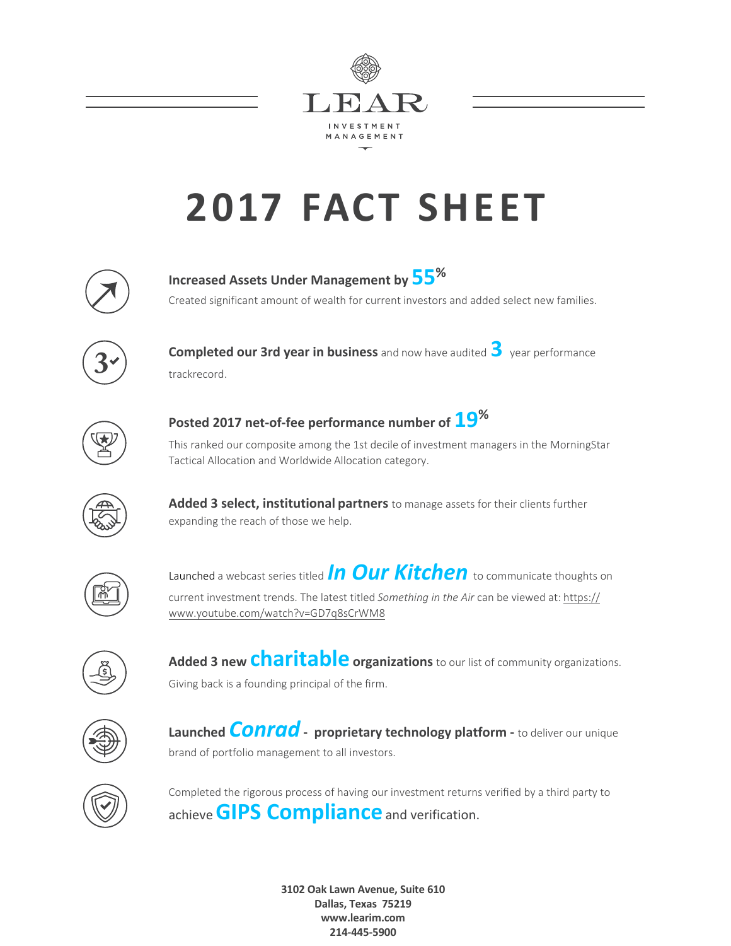

## **2017 FACT SHEET**



**Increased Assets Under Management by 55 %** Created significant amount of wealth for current investors and added select new families.



**Completed our 3rd year in business** and now have audited **3** year performance trackrecord.



**Posted 2017 net-of-fee performance number of 19%** This ranked our composite among the 1st decile of investment managers in the MorningStar

Tactical Allocation and Worldwide Allocation category.



**Added 3 select, institutional partners** to manage assets for their clients further expanding the reach of those we help.



Launched a webcast series titled *In Our Kitchen* to communicate thoughts on current investment trends. The latest titled *Something in the Air* can be viewed at: https:// www.youtube.com/watch?v=GD7q8sCrWM8



**Added 3 new charitable organizations** to our list of community organizations. Giving back is a founding principal of the firm.



**Launched** *Conrad* **- proprietary technology platform -** to deliver our unique brand of portfolio management to all investors.



Completed the rigorous process of having our investment returns verified by a third party to achieve **GIPS Compliance**and verification.

> **3102 Oak Lawn Avenue, Suite 610 Dallas, Texas 75219 www.learim.com 214-445-5900**